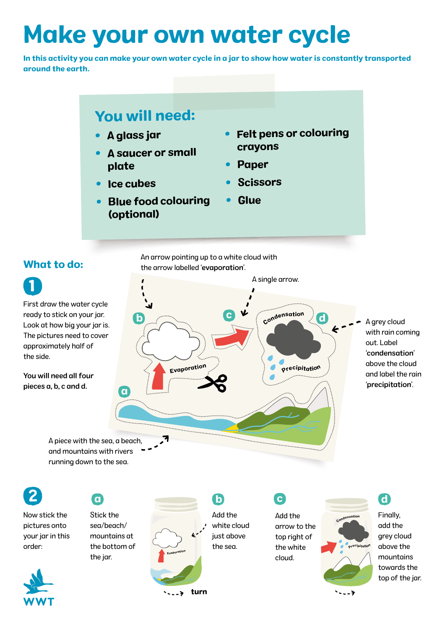# Make your own water cycle

In this activity you can make your own water cycle in a jar to show how water is constantly transported around the earth.

## You will need:

- A glass jar
- • A saucer or small plate
- •Ice cubes
- • Blue food colouring (optional)
- Felt pens or colouring crayons
- $\bullet$ Paper
- $\bullet$ Scissors
- $\bullet$ **Glue**

### What to do:

1 First draw the water cycle ready to stick on your jar. Look at how big your jar is. The pictures need to cover approximately half of the side.

You will need all four pieces a, b, c and d.

An arrow pointing up to a white cloud with the arrow labelled 'evaporation'.



A piece with the sea, a beach, and mountains with rivers running down to the sea.

2

order:

Now stick the pictures onto your jar in this

Stick the sea/beach/ mountains at the bottom of the jar.



Add the white cloud just above the sea.

Add the arrow to the top right of the white cloud.



Finally, add the grey cloud above the mountains towards the top of the jar.

d



c

د. .